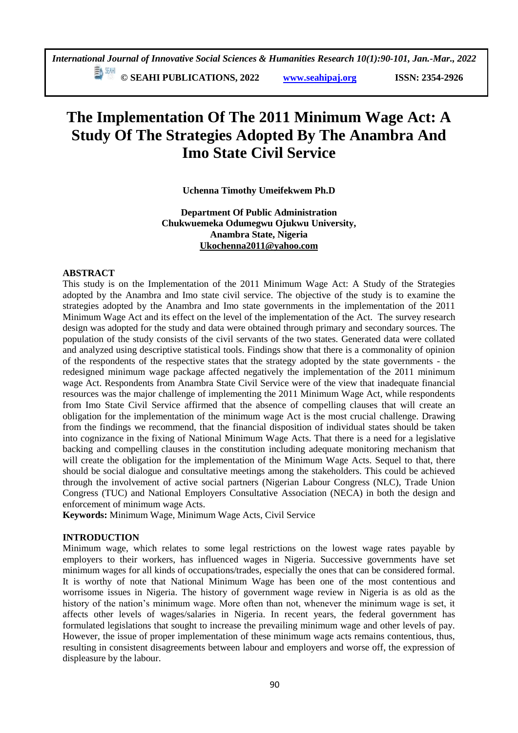**E**<sup>[30]</sup> © SEAHI PUBLICATIONS, 2022 *www.seahipaj.org* **ISSN: 2354-2926** 

# **The Implementation Of The 2011 Minimum Wage Act: A Study Of The Strategies Adopted By The Anambra And Imo State Civil Service**

**Uchenna Timothy Umeifekwem Ph.D**

**Department Of Public Administration Chukwuemeka Odumegwu Ojukwu University, Anambra State, Nigeria [Ukochenna2011@yahoo.com](mailto:Ukochenna2011@yahoo.com)**

## **ABSTRACT**

This study is on the Implementation of the 2011 Minimum Wage Act: A Study of the Strategies adopted by the Anambra and Imo state civil service. The objective of the study is to examine the strategies adopted by the Anambra and Imo state governments in the implementation of the 2011 Minimum Wage Act and its effect on the level of the implementation of the Act. The survey research design was adopted for the study and data were obtained through primary and secondary sources. The population of the study consists of the civil servants of the two states. Generated data were collated and analyzed using descriptive statistical tools. Findings show that there is a commonality of opinion of the respondents of the respective states that the strategy adopted by the state governments - the redesigned minimum wage package affected negatively the implementation of the 2011 minimum wage Act. Respondents from Anambra State Civil Service were of the view that inadequate financial resources was the major challenge of implementing the 2011 Minimum Wage Act, while respondents from Imo State Civil Service affirmed that the absence of compelling clauses that will create an obligation for the implementation of the minimum wage Act is the most crucial challenge. Drawing from the findings we recommend, that the financial disposition of individual states should be taken into cognizance in the fixing of National Minimum Wage Acts. That there is a need for a legislative backing and compelling clauses in the constitution including adequate monitoring mechanism that will create the obligation for the implementation of the Minimum Wage Acts. Sequel to that, there should be social dialogue and consultative meetings among the stakeholders. This could be achieved through the involvement of active social partners (Nigerian Labour Congress (NLC), Trade Union Congress (TUC) and National Employers Consultative Association (NECA) in both the design and enforcement of minimum wage Acts.

**Keywords:** Minimum Wage, Minimum Wage Acts, Civil Service

## **INTRODUCTION**

Minimum wage, which relates to some legal restrictions on the lowest wage rates payable by employers to their workers, has influenced wages in Nigeria. Successive governments have set minimum wages for all kinds of occupations/trades, especially the ones that can be considered formal. It is worthy of note that National Minimum Wage has been one of the most contentious and worrisome issues in Nigeria. The history of government wage review in Nigeria is as old as the history of the nation's minimum wage. More often than not, whenever the minimum wage is set, it affects other levels of wages/salaries in Nigeria. In recent years, the federal government has formulated legislations that sought to increase the prevailing minimum wage and other levels of pay. However, the issue of proper implementation of these minimum wage acts remains contentious, thus, resulting in consistent disagreements between labour and employers and worse off, the expression of displeasure by the labour.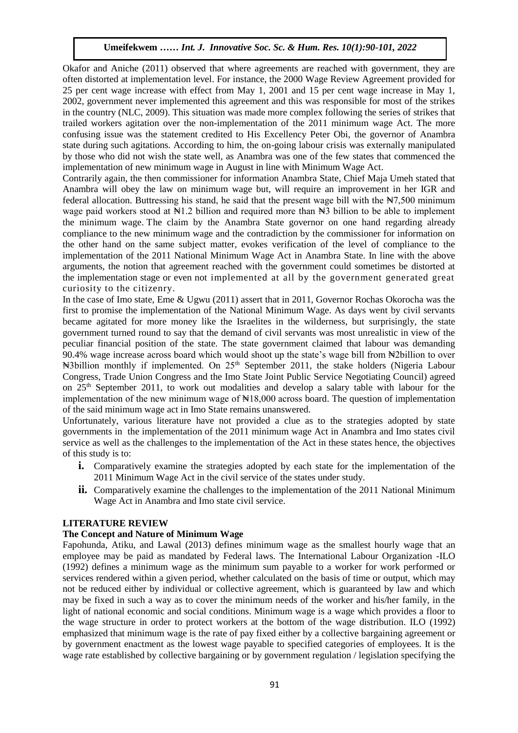Okafor and Aniche (2011) observed that where agreements are reached with government, they are often distorted at implementation level. For instance, the 2000 Wage Review Agreement provided for  $25$  per cent wage increase with effect from May 1,  $2001$  and  $15$  per cent wage increase in May 1,  $2002$ 2002, government never implemented this agreement and this was responsible for most of the strikes in the country (NLC, 2009). This situation was made more complex following the series of strikes that In the country (IVEC, 2009). This situation was made more complex following the series of strikes that trailed workers agitation over the non-implementation of the 2011 minimum wage Act. The more confusing issue was the statement credited to His Excellency Peter Obi, the governor of Anambra state during issue was the statement eredica to this Executive Teta Co., the governor of rinamoral state during such agitations. According to him, the on-going labour crisis was externally manipulated by those who did not wish the state well, as Anambra was one of the few states that commenced the implementation of new minimum wage in August in line with Minimum Wage Act.

Contrarily again, the then commissioner for information Anambra State, Chief Maja Umeh stated that Anambra will obey the law on minimum wage but, will require an improvement in her IGR and federal allocation. Buttressing his stand, he said that the present wage bill with the  $\frac{1}{2}$ ,500 minimum wage paid workers stood at  $\mathbb{N}1.2$  billion and required more than  $\mathbb{N}3$  billion to be able to implement the minimum wage. The claim by the Anambra State governor on one hand regarding already compliance to the new minimum wage and the contradiction by the commissioner for information on the other hand on the same subject matter, evokes verification of the level of compliance to the implementation of the 2011 National Minimum Wage Act in Anambra State. In line with the above arguments, the notion that agreement reached with the government could sometimes be distorted at the implementation stage or even not implemented at all by the government generated great curiosity to the citizenry.

In the case of Imo state, Eme & Ugwu (2011) assert that in 2011, Governor Rochas Okorocha was the first to promise the implementation of the National Minimum Wage. As days went by civil servants became agitated for more money like the Israelites in the wilderness, but surprisingly, the state government turned round to say that the demand of civil servants was most unrealistic in view of the peculiar financial position of the state. The state government claimed that labour was demanding 90.4% wage increase across board which would shoot up the state's wage bill from ₦2billion to over Nabillion monthly if implemented. On  $25<sup>th</sup>$  September 2011, the stake holders (Nigeria Labour Congress, Trade Union Congress and the Imo State Joint Public Service Negotiating Council) agreed on 25<sup>th</sup> September 2011, to work out modalities and develop a salary table with labour for the implementation of the new minimum wage of  $\mathbb{N}18,000$  across board. The question of implementation of the said minimum wage act in Imo State remains unanswered.

Unfortunately, various literature have not provided a clue as to the strategies adopted by state governments in the implementation of the 2011 minimum wage Act in Anambra and Imo states civil service as well as the challenges to the implementation of the Act in these states hence, the objectives of this study is to:

- **i.** Comparatively examine the strategies adopted by each state for the implementation of the 2011 Minimum Wage Act in the civil service of the states under study.
- **ii.** Comparatively examine the challenges to the implementation of the 2011 National Minimum Wage Act in Anambra and Imo state civil service.

## **LITERATURE REVIEW**

## **The Concept and Nature of Minimum Wage**

Fapohunda, Atiku, and Lawal (2013) defines minimum wage as the smallest hourly wage that an employee may be paid as mandated by Federal laws. The International Labour Organization -ILO (1992) defines a minimum wage as the minimum sum payable to a worker for work performed or services rendered within a given period, whether calculated on the basis of time or output, which may not be reduced either by individual or collective agreement, which is guaranteed by law and which may be fixed in such a way as to cover the minimum needs of the worker and his/her family, in the light of national economic and social conditions. Minimum wage is a wage which provides a floor to the wage structure in order to protect workers at the bottom of the wage distribution. ILO (1992) emphasized that minimum wage is the rate of pay fixed either by a collective bargaining agreement or by government enactment as the lowest wage payable to specified categories of employees. It is the wage rate established by collective bargaining or by government regulation / legislation specifying the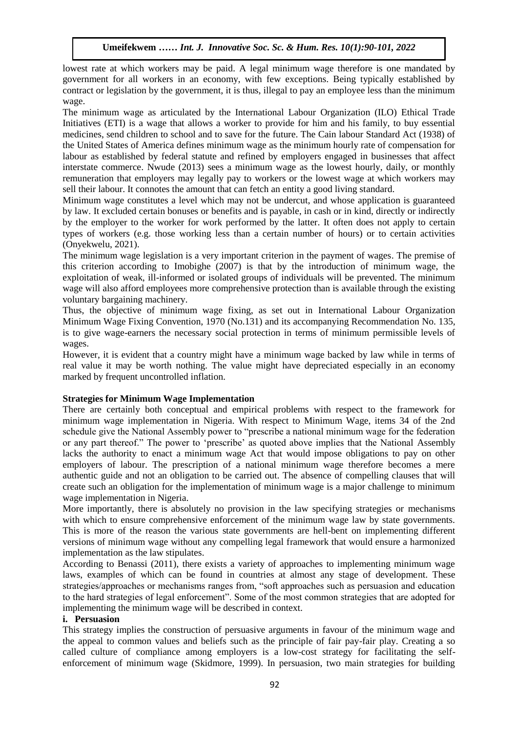lowest rate at which workers may be paid. A legal minimum wage therefore is one mandated by government for all workers in an economy, with few exceptions. Being typically established by contract or legislation by the government, it is thus, illegal to pay an employee less than the minimum wage.

The minimum wage as articulated by the International Labour Organization (ILO) Ethical Trade Initiatives (ETI) is a wage that allows a worker to provide for him and his family, to buy essential Initiatives (ETI) is a wage that allows a worker to provide for him and his family, to buy essential medicines, send children to school and to save for the future. The Cain labour Standard Act (1938) of the United States of America defines minimum wage as the minimum hourly rate of compensation for labour as established by federal statute and refined by employers engaged in businesses that affect interstate commerce. Nwude (2013) sees a minimum wage as the lowest hourly, daily, or monthly remuneration that employers may legally pay to workers or the lowest wage at which workers may sell their labour. It connotes the amount that can fetch an entity a good living standard.

Minimum wage constitutes a level which may not be undercut, and whose application is guaranteed by law. It excluded certain bonuses or benefits and is payable, in cash or in kind, directly or indirectly by the employer to the worker for work performed by the latter. It often does not apply to certain types of workers (e.g. those working less than a certain number of hours) or to certain activities (Onyekwelu, 2021).

The minimum wage legislation is a very important criterion in the payment of wages. The premise of this criterion according to Imobighe (2007) is that by the introduction of minimum wage, the exploitation of weak, ill-informed or isolated groups of individuals will be prevented. The minimum wage will also afford employees more comprehensive protection than is available through the existing voluntary bargaining machinery.

Thus, the objective of minimum wage fixing, as set out in International Labour Organization Minimum Wage Fixing Convention, 1970 (No.131) and its accompanying Recommendation No. 135, is to give wage-earners the necessary social protection in terms of minimum permissible levels of wages.

However, it is evident that a country might have a minimum wage backed by law while in terms of real value it may be worth nothing. The value might have depreciated especially in an economy marked by frequent uncontrolled inflation.

## **Strategies for Minimum Wage Implementation**

There are certainly both conceptual and empirical problems with respect to the framework for minimum wage implementation in Nigeria. With respect to Minimum Wage, items 34 of the 2nd schedule give the National Assembly power to "prescribe a national minimum wage for the federation or any part thereof." The power to 'prescribe' as quoted above implies that the National Assembly lacks the authority to enact a minimum wage Act that would impose obligations to pay on other employers of labour. The prescription of a national minimum wage therefore becomes a mere authentic guide and not an obligation to be carried out. The absence of compelling clauses that will create such an obligation for the implementation of minimum wage is a major challenge to minimum wage implementation in Nigeria.

More importantly, there is absolutely no provision in the law specifying strategies or mechanisms with which to ensure comprehensive enforcement of the minimum wage law by state governments. This is more of the reason the various state governments are hell-bent on implementing different versions of minimum wage without any compelling legal framework that would ensure a harmonized implementation as the law stipulates.

According to Benassi (2011), there exists a variety of approaches to implementing minimum wage laws, examples of which can be found in countries at almost any stage of development. These strategies/approaches or mechanisms ranges from, "soft approaches such as persuasion and education to the hard strategies of legal enforcement". Some of the most common strategies that are adopted for implementing the minimum wage will be described in context.

#### **i. Persuasion**

This strategy implies the construction of persuasive arguments in favour of the minimum wage and the appeal to common values and beliefs such as the principle of fair pay-fair play. Creating a so called culture of compliance among employers is a low-cost strategy for facilitating the selfenforcement of minimum wage (Skidmore, 1999). In persuasion, two main strategies for building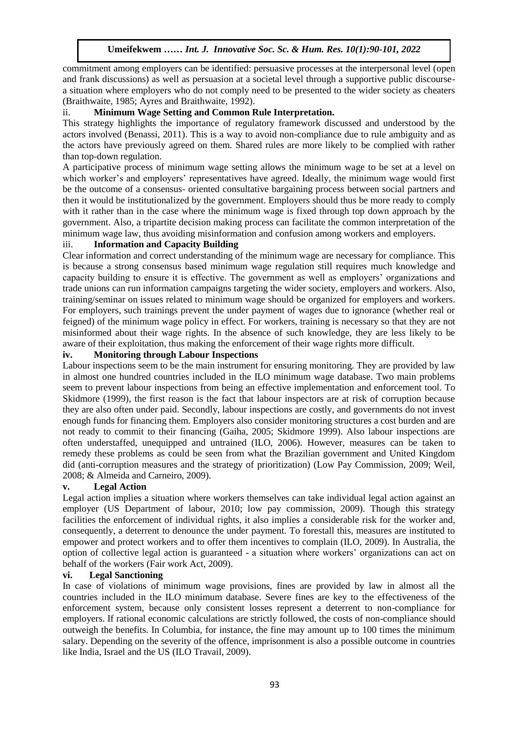commitment among employers can be identified: persuasive processes at the interpersonal level (open and frank discussions) as well as persuasion at a societal level through a supportive public discoursea situation where employers who do not comply need to be presented to the wider society as cheaters a shuation where employers who do not comply heed to be presented to the which social (Braithwaite, 1985; Ayres and Braithwaite, 1992).

# ii. **Minimum Wage Setting and Common Rule Interpretation.**

This strategy highlights the importance of regulatory framework discussed and understood by the actors involved (Benassi, 2011). This is a way to avoid non-compliance due to rule ambiguity and as the actors have previously agreed on them. Shared rules are more likely to be complied with rather than top-down regulation.

A participative process of minimum wage setting allows the minimum wage to be set at a level on which worker's and employers' representatives have agreed. Ideally, the minimum wage would first be the outcome of a consensus- oriented consultative bargaining process between social partners and then it would be institutionalized by the government. Employers should thus be more ready to comply with it rather than in the case where the minimum wage is fixed through top down approach by the government. Also, a tripartite decision making process can facilitate the common interpretation of the minimum wage law, thus avoiding misinformation and confusion among workers and employers.

## iii. **Information and Capacity Building**

Clear information and correct understanding of the minimum wage are necessary for compliance. This is because a strong consensus based minimum wage regulation still requires much knowledge and capacity building to ensure it is effective. The government as well as employers' organizations and trade unions can run information campaigns targeting the wider society, employers and workers. Also, training/seminar on issues related to minimum wage should be organized for employers and workers. For employers, such trainings prevent the under payment of wages due to ignorance (whether real or feigned) of the minimum wage policy in effect. For workers, training is necessary so that they are not misinformed about their wage rights. In the absence of such knowledge, they are less likely to be aware of their exploitation, thus making the enforcement of their wage rights more difficult.

## **iv. Monitoring through Labour Inspections**

Labour inspections seem to be the main instrument for ensuring monitoring. They are provided by law in almost one hundred countries included in the ILO minimum wage database. Two main problems seem to prevent labour inspections from being an effective implementation and enforcement tool. To Skidmore (1999), the first reason is the fact that labour inspectors are at risk of corruption because they are also often under paid. Secondly, labour inspections are costly, and governments do not invest enough funds for financing them. Employers also consider monitoring structures a cost burden and are not ready to commit to their financing (Gaiha, 2005; Skidmore 1999). Also labour inspections are often understaffed, unequipped and untrained (ILO, 2006). However, measures can be taken to remedy these problems as could be seen from what the Brazilian government and United Kingdom did (anti-corruption measures and the strategy of prioritization) (Low Pay Commission, 2009; Weil, 2008; & Almeida and Carneiro, 2009).

## **v. Legal Action**

Legal action implies a situation where workers themselves can take individual legal action against an employer (US Department of labour, 2010; low pay commission, 2009). Though this strategy facilities the enforcement of individual rights, it also implies a considerable risk for the worker and, consequently, a deterrent to denounce the under payment. To forestall this, measures are instituted to empower and protect workers and to offer them incentives to complain (ILO, 2009). In Australia, the option of collective legal action is guaranteed - a situation where workers' organizations can act on behalf of the workers (Fair work Act, 2009).

## **vi. Legal Sanctioning**

In case of violations of minimum wage provisions, fines are provided by law in almost all the countries included in the ILO minimum database. Severe fines are key to the effectiveness of the enforcement system, because only consistent losses represent a deterrent to non-compliance for employers. If rational economic calculations are strictly followed, the costs of non-compliance should outweigh the benefits. In Columbia, for instance, the fine may amount up to 100 times the minimum salary. Depending on the severity of the offence, imprisonment is also a possible outcome in countries like India, Israel and the US (ILO Travail, 2009).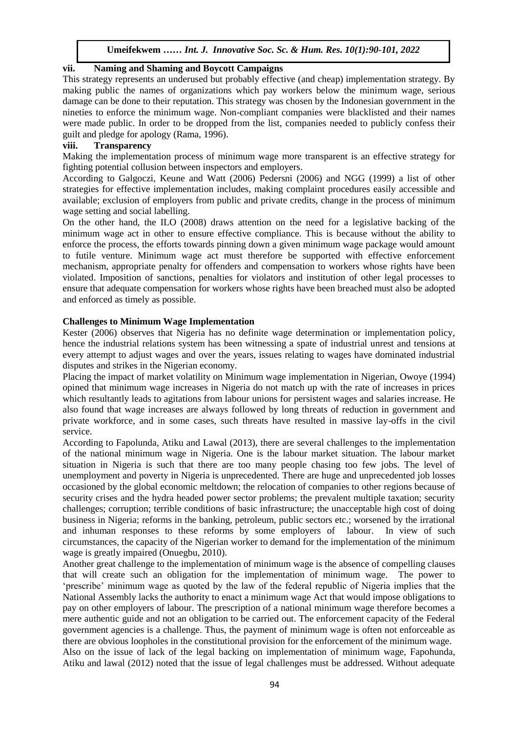## **vii. Naming and Shaming and Boycott Campaigns**

IT. Training and Shanning and Boycott Campaigns<br>This strategy represents an underused but probably effective (and cheap) implementation strategy. By making public the names of organizations which pay workers below the minimum wage, serious damage can be done to their reputation. This strategy was chosen by the Indonesian government in the nineties to enforce the minimum wage. Non-compliant companies were blacklisted and their names were made public. In order to be dropped from the list, companies needed to publicly confess their guilt and pledge for apology (Rama, 1996).

# **viii. Transparency**

Making the implementation process of minimum wage more transparent is an effective strategy for fighting potential collusion between inspectors and employers.

According to Galgoczi, Keune and Watt (2006) Pedersni (2006) and NGG (1999) a list of other strategies for effective implementation includes, making complaint procedures easily accessible and available; exclusion of employers from public and private credits, change in the process of minimum wage setting and social labelling.

On the other hand, the ILO (2008) draws attention on the need for a legislative backing of the minimum wage act in other to ensure effective compliance. This is because without the ability to enforce the process, the efforts towards pinning down a given minimum wage package would amount to futile venture. Minimum wage act must therefore be supported with effective enforcement mechanism, appropriate penalty for offenders and compensation to workers whose rights have been violated. Imposition of sanctions, penalties for violators and institution of other legal processes to ensure that adequate compensation for workers whose rights have been breached must also be adopted and enforced as timely as possible.

## **Challenges to Minimum Wage Implementation**

Kester (2006) observes that Nigeria has no definite wage determination or implementation policy, hence the industrial relations system has been witnessing a spate of industrial unrest and tensions at every attempt to adjust wages and over the years, issues relating to wages have dominated industrial disputes and strikes in the Nigerian economy.

Placing the impact of market volatility on Minimum wage implementation in Nigerian, Owoye (1994) opined that minimum wage increases in Nigeria do not match up with the rate of increases in prices which resultantly leads to agitations from labour unions for persistent wages and salaries increase. He also found that wage increases are always followed by long threats of reduction in government and private workforce, and in some cases, such threats have resulted in massive lay-offs in the civil service.

According to Fapolunda, Atiku and Lawal (2013), there are several challenges to the implementation of the national minimum wage in Nigeria. One is the labour market situation. The labour market situation in Nigeria is such that there are too many people chasing too few jobs. The level of unemployment and poverty in Nigeria is unprecedented. There are huge and unprecedented job losses occasioned by the global economic meltdown; the relocation of companies to other regions because of security crises and the hydra headed power sector problems; the prevalent multiple taxation; security challenges; corruption; terrible conditions of basic infrastructure; the unacceptable high cost of doing business in Nigeria; reforms in the banking, petroleum, public sectors etc.; worsened by the irrational and inhuman responses to these reforms by some employers of labour. In view of such circumstances, the capacity of the Nigerian worker to demand for the implementation of the minimum wage is greatly impaired (Onuegbu, 2010).

Another great challenge to the implementation of minimum wage is the absence of compelling clauses that will create such an obligation for the implementation of minimum wage. The power to 'prescribe' minimum wage as quoted by the law of the federal republic of Nigeria implies that the National Assembly lacks the authority to enact a minimum wage Act that would impose obligations to pay on other employers of labour. The prescription of a national minimum wage therefore becomes a mere authentic guide and not an obligation to be carried out. The enforcement capacity of the Federal government agencies is a challenge. Thus, the payment of minimum wage is often not enforceable as there are obvious loopholes in the constitutional provision for the enforcement of the minimum wage. Also on the issue of lack of the legal backing on implementation of minimum wage, Fapohunda, Atiku and lawal (2012) noted that the issue of legal challenges must be addressed. Without adequate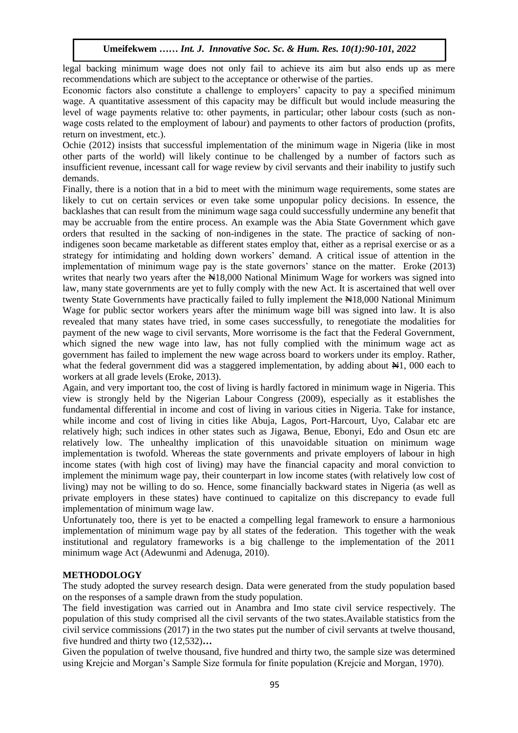legal backing minimum wage does not only fail to achieve its aim but also ends up as mere recommendations which are subject to the acceptance or otherwise of the parties.

Economic factors also constitute a challenge to employers' capacity to pay a specified minimum Economic factors also construct a chancing to employers capacity to pay a specifical minimum<br>wage. A quantitative assessment of this capacity may be difficult but would include measuring the level of wage payments relative to: other payments, in particular; other labour costs (such as nonwage costs related to the employment of labour) and payments to other factors of production (profits, return on investment, etc.).

Ochie (2012) insists that successful implementation of the minimum wage in Nigeria (like in most other parts of the world) will likely continue to be challenged by a number of factors such as insufficient revenue, incessant call for wage review by civil servants and their inability to justify such demands.

Finally, there is a notion that in a bid to meet with the minimum wage requirements, some states are likely to cut on certain services or even take some unpopular policy decisions. In essence, the backlashes that can result from the minimum wage saga could successfully undermine any benefit that may be accruable from the entire process. An example was the Abia State Government which gave orders that resulted in the sacking of non-indigenes in the state. The practice of sacking of nonindigenes soon became marketable as different states employ that, either as a reprisal exercise or as a strategy for intimidating and holding down workers' demand. A critical issue of attention in the implementation of minimum wage pay is the state governors' stance on the matter. Eroke (2013) writes that nearly two years after the  $\text{H}18,000$  National Minimum Wage for workers was signed into law, many state governments are yet to fully comply with the new Act. It is ascertained that well over twenty State Governments have practically failed to fully implement the  $\frac{18,000}{10,000}$  National Minimum Wage for public sector workers years after the minimum wage bill was signed into law. It is also revealed that many states have tried, in some cases successfully, to renegotiate the modalities for payment of the new wage to civil servants, More worrisome is the fact that the Federal Government, which signed the new wage into law, has not fully complied with the minimum wage act as government has failed to implement the new wage across board to workers under its employ. Rather, what the federal government did was a staggered implementation, by adding about  $\mathbb{H}1$ , 000 each to workers at all grade levels (Eroke, 2013).

Again, and very important too, the cost of living is hardly factored in minimum wage in Nigeria. This view is strongly held by the Nigerian Labour Congress (2009), especially as it establishes the fundamental differential in income and cost of living in various cities in Nigeria. Take for instance, while income and cost of living in cities like Abuja, Lagos, Port-Harcourt, Uyo, Calabar etc are relatively high; such indices in other states such as Jigawa, Benue, Ebonyi, Edo and Osun etc are relatively low. The unhealthy implication of this unavoidable situation on minimum wage implementation is twofold. Whereas the state governments and private employers of labour in high income states (with high cost of living) may have the financial capacity and moral conviction to implement the minimum wage pay, their counterpart in low income states (with relatively low cost of living) may not be willing to do so. Hence, some financially backward states in Nigeria (as well as private employers in these states) have continued to capitalize on this discrepancy to evade full implementation of minimum wage law.

Unfortunately too, there is yet to be enacted a compelling legal framework to ensure a harmonious implementation of minimum wage pay by all states of the federation. This together with the weak institutional and regulatory frameworks is a big challenge to the implementation of the 2011 minimum wage Act (Adewunmi and Adenuga, 2010).

## **METHODOLOGY**

The study adopted the survey research design. Data were generated from the study population based on the responses of a sample drawn from the study population.

The field investigation was carried out in Anambra and Imo state civil service respectively. The population of this study comprised all the civil servants of the two states.Available statistics from the civil service commissions (2017) in the two states put the number of civil servants at twelve thousand, five hundred and thirty two (12,532)**…**

Given the population of twelve thousand, five hundred and thirty two, the sample size was determined using Krejcie and Morgan's Sample Size formula for finite population (Krejcie and Morgan, 1970).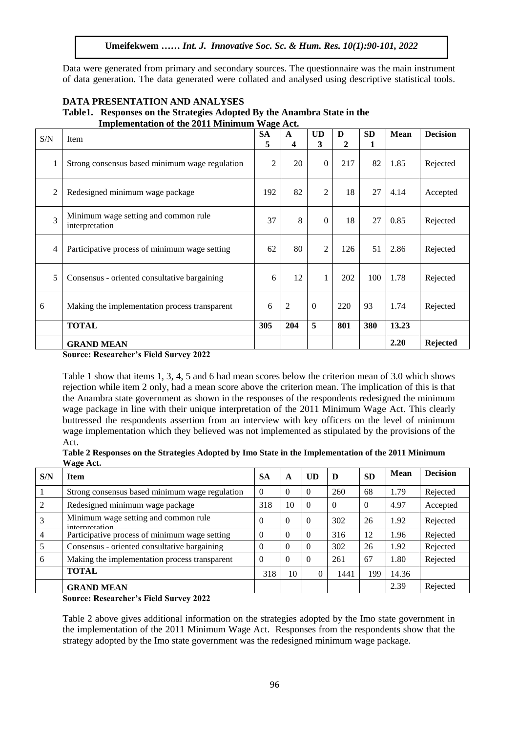Data were generated from primary and secondary sources. The questionnaire was the main instrument of data generation. The data generated were collated and analysed using descriptive statistical tools.

| DATA PRESENTATION AND ANALYSES                                           |
|--------------------------------------------------------------------------|
| Table 1. Responses on the Strategies Adopted By the Anambra State in the |
| <b>Implementation of the 2011 Minimum Wage Act.</b>                      |

| $\ensuremath{\mathrm{S/N}}$ | Item                                                   | <b>SA</b><br>5 | $\mathbf{A}$<br>4 | <b>UD</b><br>3 | D<br>$\mathbf{2}$ | <b>SD</b><br>1 | <b>Mean</b> | <b>Decision</b> |
|-----------------------------|--------------------------------------------------------|----------------|-------------------|----------------|-------------------|----------------|-------------|-----------------|
| 1                           | Strong consensus based minimum wage regulation         | 2              | 20                | $\Omega$       | 217               | 82             | 1.85        | Rejected        |
| $\overline{2}$              | Redesigned minimum wage package                        |                | 82                | $\overline{2}$ | 18                | 27             | 4.14        | Accepted        |
| 3                           | Minimum wage setting and common rule<br>interpretation | 37             | 8                 | $\Omega$       | 18                | 27             | 0.85        | Rejected        |
| $\overline{4}$              | Participative process of minimum wage setting          | 62             | 80                | $\overline{2}$ | 126               | 51             | 2.86        | Rejected        |
| 5                           | Consensus - oriented consultative bargaining           | 6              | 12                | 1              | 202               | 100            | 1.78        | Rejected        |
| 6                           | Making the implementation process transparent          | 6              | $\overline{2}$    | $\overline{0}$ | 220               | 93             | 1.74        | Rejected        |
|                             | <b>TOTAL</b>                                           | 305            | 204               | 5              | 801               | 380            | 13.23       |                 |
|                             | <b>GRAND MEAN</b>                                      |                |                   |                |                   |                | 2.20        | <b>Rejected</b> |
|                             | <b>Source: Researcher's Field Survey 2022</b>          |                |                   |                |                   |                |             |                 |

Table 1 show that items 1, 3, 4, 5 and 6 had mean scores below the criterion mean of 3.0 which shows rejection while item 2 only, had a mean score above the criterion mean. The implication of this is that the Anambra state government as shown in the responses of the respondents redesigned the minimum wage package in line with their unique interpretation of the 2011 Minimum Wage Act. This clearly buttressed the respondents assertion from an interview with key officers on the level of minimum wage implementation which they believed was not implemented as stipulated by the provisions of the Act.

**Table 2 Responses on the Strategies Adopted by Imo State in the Implementation of the 2011 Minimum Wage Act.**

| S/N | <b>Item</b>                                            | <b>SA</b> | A        | UD       | D        | <b>SD</b> | <b>Mean</b> | <b>Decision</b> |
|-----|--------------------------------------------------------|-----------|----------|----------|----------|-----------|-------------|-----------------|
|     | Strong consensus based minimum wage regulation         | $\Omega$  | $\Omega$ | 0        | 260      | 68        | 1.79        | Rejected        |
| 2   | Redesigned minimum wage package                        | 318       | 10       | $\Omega$ | $\Omega$ | $\Omega$  | 4.97        | Accepted        |
| 3   | Minimum wage setting and common rule<br>interpretation | $\Omega$  | $\Omega$ | $\Omega$ | 302      | 26        | 1.92        | Rejected        |
| 4   | Participative process of minimum wage setting          | $\Omega$  | $\Omega$ | $\Omega$ | 316      | 12        | 1.96        | Rejected        |
| 5   | Consensus - oriented consultative bargaining           | 0         | $\Omega$ | 0        | 302      | 26        | 1.92        | Rejected        |
| 6   | Making the implementation process transparent          | $\Omega$  | $\Omega$ | 0        | 261      | 67        | 1.80        | Rejected        |
|     | <b>TOTAL</b>                                           | 318       | 10       | 0        | 1441     | 199       | 14.36       |                 |
|     | <b>GRAND MEAN</b>                                      |           |          |          |          |           | 2.39        | Rejected        |

**Source: Researcher's Field Survey 2022**

Table 2 above gives additional information on the strategies adopted by the Imo state government in the implementation of the 2011 Minimum Wage Act. Responses from the respondents show that the strategy adopted by the Imo state government was the redesigned minimum wage package.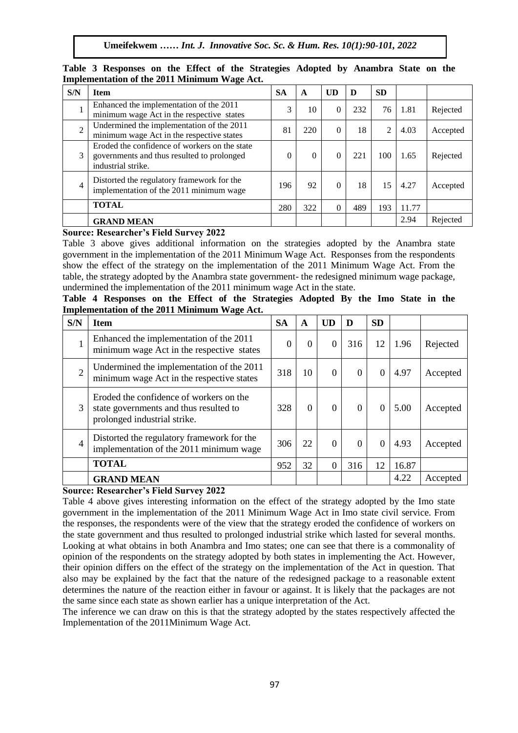**Umeifekwem** *…… Int. J. Innovative Soc. Sc. & Hum. Res. 10(1):90-101, 2022*

| S/N            | <b>Item</b>                                                                                                       | <b>SA</b> | A        | UD           | D   | <b>SD</b>      |       |          |
|----------------|-------------------------------------------------------------------------------------------------------------------|-----------|----------|--------------|-----|----------------|-------|----------|
|                | Enhanced the implementation of the 2011<br>minimum wage Act in the respective states                              | 3         | 10       | $\Omega$     | 232 | 76             | 1.81  | Rejected |
| $\overline{2}$ | Undermined the implementation of the 2011<br>minimum wage Act in the respective states                            | 81        | 220      | $\mathbf{0}$ | 18  | $\overline{c}$ | 4.03  | Accepted |
| 3              | Eroded the confidence of workers on the state<br>governments and thus resulted to prolonged<br>industrial strike. | $\Omega$  | $\theta$ | $\Omega$     | 221 | 100            | 1.65  | Rejected |
| 4              | Distorted the regulatory framework for the<br>implementation of the 2011 minimum wage                             | 196       | 92       | $\Omega$     | 18  | 15             | 4.27  | Accepted |
|                | <b>TOTAL</b>                                                                                                      | 280       | 322      | $\Omega$     | 489 | 193            | 11.77 |          |
|                | <b>GRAND MEAN</b>                                                                                                 |           |          |              |     |                | 2.94  | Rejected |

Table 3 Responses on the Effect of the Strategies Adopted by Anambra State on the **Implementation of the 2011 Minimum Wage Act.**

# **Source: Researcher's Field Survey 2022**

Table 3 above gives additional information on the strategies adopted by the Anambra state government in the implementation of the 2011 Minimum Wage Act. Responses from the respondents show the effect of the strategy on the implementation of the 2011 Minimum Wage Act. From the table, the strategy adopted by the Anambra state government- the redesigned minimum wage package, undermined the implementation of the 2011 minimum wage Act in the state.

| Table 4 Responses on the Effect of the Strategies Adopted By the Imo State in the<br><b>Implementation of the 2011 Minimum Wage Act.</b> |  |  |  |  |  |  |  |  |  |  |  |  |  |  |
|------------------------------------------------------------------------------------------------------------------------------------------|--|--|--|--|--|--|--|--|--|--|--|--|--|--|

| S/N            | <b>Item</b>                                                                                                       | <b>SA</b> | A        | <b>UD</b>        | D        | <b>SD</b> |       |          |
|----------------|-------------------------------------------------------------------------------------------------------------------|-----------|----------|------------------|----------|-----------|-------|----------|
|                | Enhanced the implementation of the 2011<br>minimum wage Act in the respective states                              | $\Omega$  | $\Omega$ | $\Omega$         | 316      | 12        | 1.96  | Rejected |
| $\overline{2}$ | Undermined the implementation of the 2011<br>minimum wage Act in the respective states                            | 318       | 10       | $\boldsymbol{0}$ | $\Omega$ | $\theta$  | 4.97  | Accepted |
| 3              | Eroded the confidence of workers on the<br>state governments and thus resulted to<br>prolonged industrial strike. | 328       | $\Omega$ | $\Omega$         | $\Omega$ | $\theta$  | 5.00  | Accepted |
| $\overline{4}$ | Distorted the regulatory framework for the<br>implementation of the 2011 minimum wage                             | 306       | 22       | $\theta$         | $\Omega$ | $\Omega$  | 4.93  | Accepted |
|                | <b>TOTAL</b>                                                                                                      | 952       | 32       | $\theta$         | 316      | 12        | 16.87 |          |
|                | <b>GRAND MEAN</b>                                                                                                 |           |          |                  |          |           | 4.22  | Accepted |

## **Source: Researcher's Field Survey 2022**

Table 4 above gives interesting information on the effect of the strategy adopted by the Imo state government in the implementation of the 2011 Minimum Wage Act in Imo state civil service. From the responses, the respondents were of the view that the strategy eroded the confidence of workers on the state government and thus resulted to prolonged industrial strike which lasted for several months. Looking at what obtains in both Anambra and Imo states; one can see that there is a commonality of opinion of the respondents on the strategy adopted by both states in implementing the Act. However, their opinion differs on the effect of the strategy on the implementation of the Act in question. That also may be explained by the fact that the nature of the redesigned package to a reasonable extent determines the nature of the reaction either in favour or against. It is likely that the packages are not the same since each state as shown earlier has a unique interpretation of the Act.

The inference we can draw on this is that the strategy adopted by the states respectively affected the Implementation of the 2011Minimum Wage Act.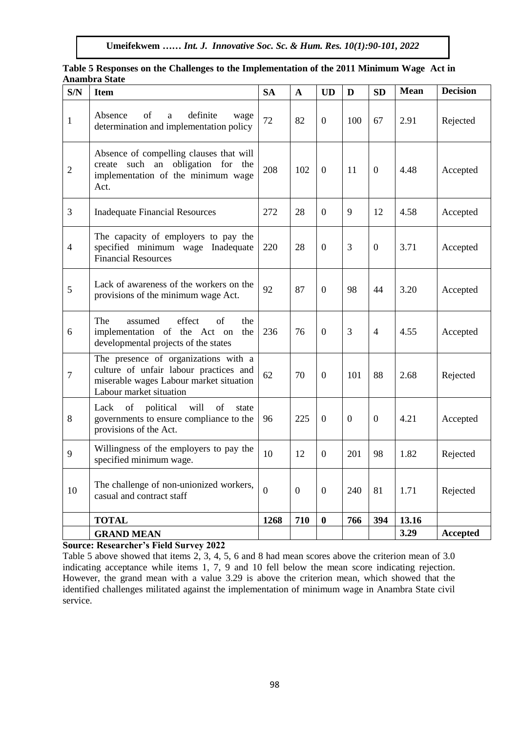| S/N              | <b>Item</b>                                                                                                                                          | <b>SA</b> | $\mathbf{A}$   | <b>UD</b>        | D                | <b>SD</b>      | <b>Mean</b> | <b>Decision</b> |
|------------------|------------------------------------------------------------------------------------------------------------------------------------------------------|-----------|----------------|------------------|------------------|----------------|-------------|-----------------|
| $\mathbf{1}$     | Absence<br>of<br>definite<br>a<br>wage<br>determination and implementation policy                                                                    | 72        | 82             | $\boldsymbol{0}$ | 100              | 67             | 2.91        | Rejected        |
| $\overline{2}$   | Absence of compelling clauses that will<br>create such an obligation for the<br>implementation of the minimum wage<br>Act.                           | 208       | 102            | $\overline{0}$   | 11               | $\overline{0}$ | 4.48        | Accepted        |
| $\overline{3}$   | <b>Inadequate Financial Resources</b>                                                                                                                | 272       | 28             | $\overline{0}$   | 9                | 12             | 4.58        | Accepted        |
| $\overline{4}$   | The capacity of employers to pay the<br>specified minimum wage Inadequate<br><b>Financial Resources</b>                                              | 220       | 28             | $\overline{0}$   | 3                | $\Omega$       | 3.71        | Accepted        |
| 5                | Lack of awareness of the workers on the<br>provisions of the minimum wage Act.                                                                       | 92        | 87             | $\boldsymbol{0}$ | 98               | 44             | 3.20        | Accepted        |
| 6                | The<br>effect<br>of<br>assumed<br>the<br>implementation of the Act on<br>the<br>developmental projects of the states                                 | 236       | 76             | $\boldsymbol{0}$ | 3                | 4              | 4.55        | Accepted        |
| $\boldsymbol{7}$ | The presence of organizations with a<br>culture of unfair labour practices and<br>miserable wages Labour market situation<br>Labour market situation | 62        | 70             | $\overline{0}$   | 101              | 88             | 2.68        | Rejected        |
| 8                | Lack<br>of<br>political<br>will<br>of<br>state<br>governments to ensure compliance to the<br>provisions of the Act.                                  | 96        | 225            | $\overline{0}$   | $\boldsymbol{0}$ | $\theta$       | 4.21        | Accepted        |
| 9                | Willingness of the employers to pay the<br>specified minimum wage.                                                                                   | 10        | 12             | $\overline{0}$   | 201              | 98             | 1.82        | Rejected        |
| 10               | The challenge of non-unionized workers,<br>casual and contract staff                                                                                 | $\theta$  | $\overline{0}$ | $\boldsymbol{0}$ | 240              | 81             | 1.71        | Rejected        |
|                  | <b>TOTAL</b>                                                                                                                                         | 1268      | 710            | $\bf{0}$         | 766              | 394            | 13.16       |                 |
|                  | <b>GRAND MEAN</b>                                                                                                                                    |           |                |                  |                  |                | 3.29        | <b>Accepted</b> |

#### Table 5 Responses on the Challenges to the Implementation of the 2011 Minimum Wage Act in **Anambra State**

**Source: Researcher's Field Survey 2022**

Table 5 above showed that items 2, 3, 4, 5, 6 and 8 had mean scores above the criterion mean of 3.0 indicating acceptance while items 1, 7, 9 and 10 fell below the mean score indicating rejection. However, the grand mean with a value 3.29 is above the criterion mean, which showed that the identified challenges militated against the implementation of minimum wage in Anambra State civil service.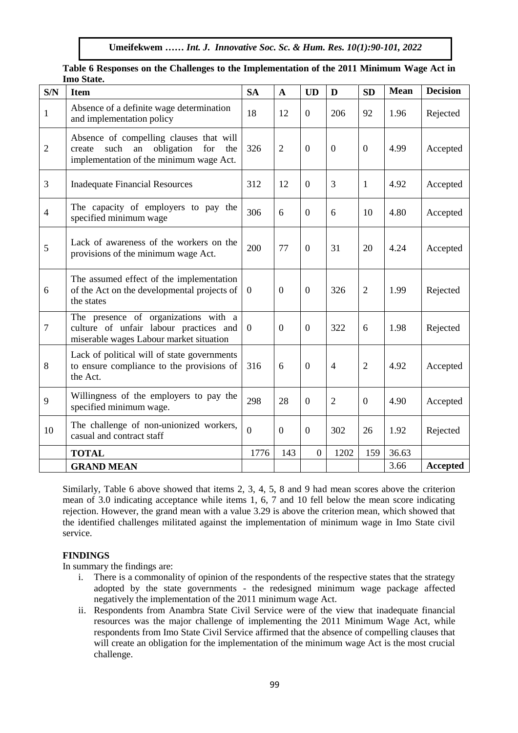| S/N            | <b>Item</b>                                                                                                                            | <b>SA</b>      | $\mathbf{A}$     | <b>UD</b>        | D              | <b>SD</b>      | <b>Mean</b> | <b>Decision</b> |
|----------------|----------------------------------------------------------------------------------------------------------------------------------------|----------------|------------------|------------------|----------------|----------------|-------------|-----------------|
| $\mathbf{1}$   | Absence of a definite wage determination<br>and implementation policy                                                                  | 18             | 12               | $\overline{0}$   | 206            | 92             | 1.96        | Rejected        |
| $\overline{2}$ | Absence of compelling clauses that will<br>such<br>an<br>obligation<br>for<br>create<br>the<br>implementation of the minimum wage Act. | 326            | $\overline{2}$   | $\overline{0}$   | $\overline{0}$ | $\overline{0}$ | 4.99        | Accepted        |
| 3              | <b>Inadequate Financial Resources</b>                                                                                                  | 312            | 12               | $\overline{0}$   | 3              | 1              | 4.92        | Accepted        |
| $\overline{4}$ | The capacity of employers to pay the<br>specified minimum wage                                                                         | 306            | 6                | $\mathbf{0}$     | 6              | 10             | 4.80        | Accepted        |
| 5              | Lack of awareness of the workers on the<br>provisions of the minimum wage Act.                                                         | 200            | 77               | $\boldsymbol{0}$ | 31             | 20             | 4.24        | Accepted        |
| 6              | The assumed effect of the implementation<br>of the Act on the developmental projects of<br>the states                                  | $\mathbf{0}$   | $\boldsymbol{0}$ | $\overline{0}$   | 326            | $\overline{2}$ | 1.99        | Rejected        |
| $\overline{7}$ | The presence of organizations with a<br>culture of unfair labour practices and<br>miserable wages Labour market situation              | $\overline{0}$ | $\Omega$         | $\Omega$         | 322            | 6              | 1.98        | Rejected        |
| 8              | Lack of political will of state governments<br>to ensure compliance to the provisions of<br>the Act.                                   | 316            | 6                | $\overline{0}$   | $\overline{4}$ | 2              | 4.92        | Accepted        |
| 9              | Willingness of the employers to pay the<br>specified minimum wage.                                                                     | 298            | 28               | $\overline{0}$   | $\overline{2}$ | $\overline{0}$ | 4.90        | Accepted        |
| 10             | The challenge of non-unionized workers,<br>casual and contract staff                                                                   | $\theta$       | $\overline{0}$   | $\overline{0}$   | 302            | 26             | 1.92        | Rejected        |
|                | <b>TOTAL</b>                                                                                                                           | 1776           | 143              | $\boldsymbol{0}$ | 1202           | 159            | 36.63       |                 |
|                | <b>GRAND MEAN</b>                                                                                                                      |                |                  |                  |                |                | 3.66        | Accepted        |

Table 6 Responses on the Challenges to the Implementation of the 2011 Minimum Wage Act in **Imo State.** 

Similarly, Table 6 above showed that items 2, 3, 4, 5, 8 and 9 had mean scores above the criterion mean of 3.0 indicating acceptance while items 1, 6, 7 and 10 fell below the mean score indicating rejection. However, the grand mean with a value 3.29 is above the criterion mean, which showed that the identified challenges militated against the implementation of minimum wage in Imo State civil service.

## **FINDINGS**

In summary the findings are:

- i. There is a commonality of opinion of the respondents of the respective states that the strategy adopted by the state governments - the redesigned minimum wage package affected negatively the implementation of the 2011 minimum wage Act.
- ii. Respondents from Anambra State Civil Service were of the view that inadequate financial resources was the major challenge of implementing the 2011 Minimum Wage Act, while respondents from Imo State Civil Service affirmed that the absence of compelling clauses that will create an obligation for the implementation of the minimum wage Act is the most crucial challenge.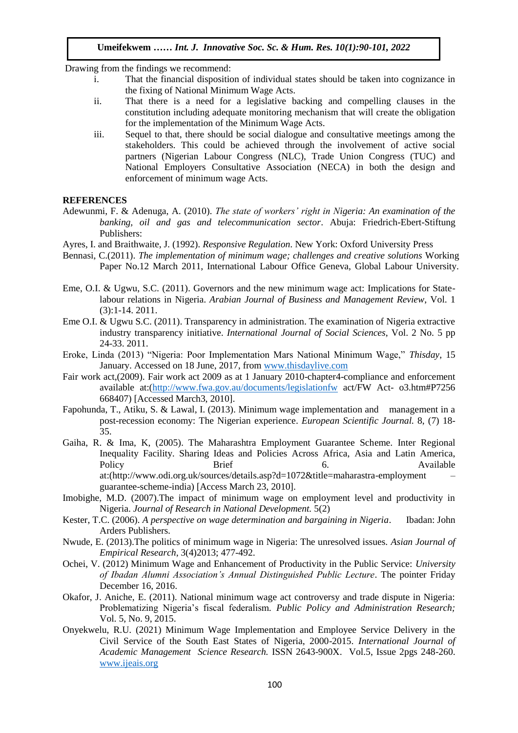Drawing from the findings we recommend:

- i. That the financial disposition of individual states should be taken into cognizance in the fixing of National Minimum Wage Acts.  $\frac{d}{dx}$  in the Hxing of National Minimum wage Acts.
- ii. That there is a need for a legislative backing and compelling clauses in the constitution including adequate monitoring mechanism that will create the obligation For the implementation of the Minimum Wage Acts.
- iii. Sequel to that, there should be social dialogue and consultative meetings among the stakeholders. This could be achieved through the involvement of active social stakeholders. partners (Nigerian Labour Congress (NLC), Trade Union Congress (TUC) and National Employers Consultative Association (NECA) in both the design and enforcement of minimum wage Acts.

#### **REFERENCES**

- Adewunmi, F. & Adenuga, A. (2010). *The state of workers' right in Nigeria: An examination of the banking, oil and gas and telecommunication sector*. Abuja: Friedrich-Ebert-Stiftung Publishers:
- Ayres, I. and Braithwaite, J. (1992). *Responsive Regulation*. New York: Oxford University Press

Arugu & Wosu …… Int. J. Innovative Soc. Sc. & Hum. Res. 8(1):1-11, 2020

- Bennasi, C.(2011). *The implementation of minimum wage; challenges and creative solutions* Working Paper No.12 March 2011, International Labour Office Geneva, Global Labour University.
- Eme, O.I. & Ugwu, S.C. (2011). Governors and the new minimum wage act: Implications for Statelabour relations in Nigeria. *Arabian Journal of Business and Management Review*, Vol. 1 (3):1-14. 2011.
- Eme O.I. & Ugwu S.C. (2011). Transparency in administration. The examination of Nigeria extractive industry transparency initiative. *International Journal of Social Sciences*, Vol. 2 No. 5 pp 24-33. 2011.
- Eroke, Linda (2013) "Nigeria: Poor Implementation Mars National Minimum Wage," *Thisday*, 15 January. Accessed on 18 June, 2017, from [www.thisdaylive.com](http://www.thisdaylive.com/)
- Fair work act,(2009). Fair work act 2009 as at 1 January 2010-chapter4-compliance and enforcement available at:[\(http://www.fwa.gov.au/documents/legislationfw](http://www.fwa.gov.au/documents/legislationfw) act/FW Act- o3.htm#P7256 668407) [Accessed March3, 2010].
- Fapohunda, T., Atiku, S. & Lawal, I. (2013). Minimum wage implementation and management in a post-recession economy: The Nigerian experience. *European Scientific Journal.* 8, (7) 18- 35.
- Gaiha, R. & Ima, K, (2005). The Maharashtra Employment Guarantee Scheme. Inter Regional Inequality Facility. Sharing Ideas and Policies Across Africa, Asia and Latin America, Policy Brief 6. Available at:(http://www.odi.org.uk/sources/details.asp?d=1072&title=maharastra-employment – guarantee-scheme-india) [Access March 23, 2010].
- Imobighe, M.D. (2007).The impact of minimum wage on employment level and productivity in Nigeria. *Journal of Research in National Development.* 5(2)
- Kester, T.C. (2006). *A perspective on wage determination and bargaining in Nigeria*. Ibadan: John Arders Publishers.
- Nwude, E. (2013).The politics of minimum wage in Nigeria: The unresolved issues. *Asian Journal of Empirical Research*, 3(4)2013; 477-492.
- Ochei, V. (2012) Minimum Wage and Enhancement of Productivity in the Public Service: *University of Ibadan Alumni Association's Annual Distinguished Public Lecture*. The pointer Friday December 16, 2016.
- Okafor, J. Aniche, E. (2011). National minimum wage act controversy and trade dispute in Nigeria: Problematizing Nigeria's fiscal federalism*. Public Policy and Administration Research;* Vol. 5, No. 9, 2015.
- Onyekwelu, R.U. (2021) Minimum Wage Implementation and Employee Service Delivery in the Civil Service of the South East States of Nigeria, 2000-2015. *International Journal of Academic Management Science Research.* ISSN 2643-900X. Vol.5, Issue 2pgs 248-260. [www.ijeais.org](http://www.ijeais.org/)